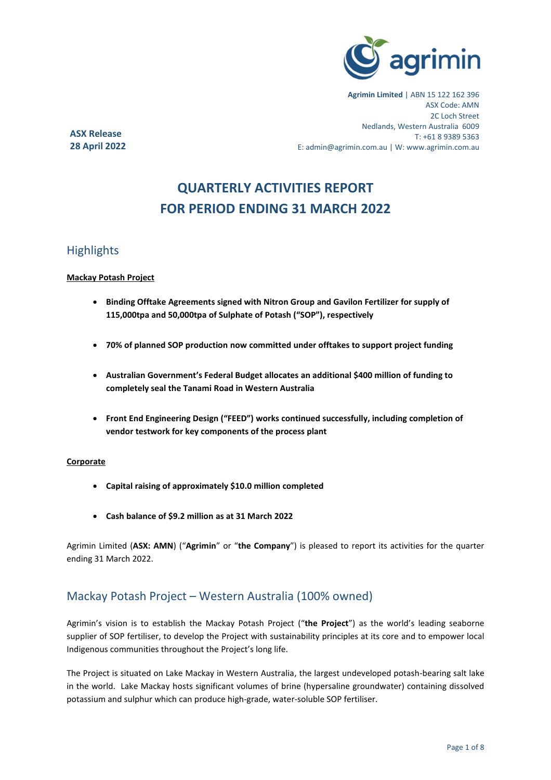

**Agrimin Limited** | ABN 15 122 162 396 ASX Code: AMN 2C Loch Street Nedlands, Western Australia 6009 T: +61 8 9389 5363 E: admin@agrimin.com.au | W: www.agrimin.com.au

**ASX Release 28 April 2022**

# **QUARTERLY ACTIVITIES REPORT FOR PERIOD ENDING 31 MARCH 2022**

## **Highlights**

#### **Mackay Potash Project**

- **Binding Offtake Agreements signed with Nitron Group and Gavilon Fertilizer for supply of 115,000tpa and 50,000tpa of Sulphate of Potash ("SOP"), respectively**
- **70% of planned SOP production now committed under offtakes to support project funding**
- **Australian Government's Federal Budget allocates an additional \$400 million of funding to completely seal the Tanami Road in Western Australia**
- **Front End Engineering Design ("FEED") works continued successfully, including completion of vendor testwork for key components of the process plant**

#### **Corporate**

- **Capital raising of approximately \$10.0 million completed**
- **Cash balance of \$9.2 million as at 31 March 2022**

Agrimin Limited (**ASX: AMN**) ("**Agrimin**" or "**the Company**") is pleased to report its activities for the quarter ending 31 March 2022.

## Mackay Potash Project – Western Australia (100% owned)

Agrimin's vision is to establish the Mackay Potash Project ("**the Project**") as the world's leading seaborne supplier of SOP fertiliser, to develop the Project with sustainability principles at its core and to empower local Indigenous communities throughout the Project's long life.

The Project is situated on Lake Mackay in Western Australia, the largest undeveloped potash-bearing salt lake in the world. Lake Mackay hosts significant volumes of brine (hypersaline groundwater) containing dissolved potassium and sulphur which can produce high-grade, water-soluble SOP fertiliser.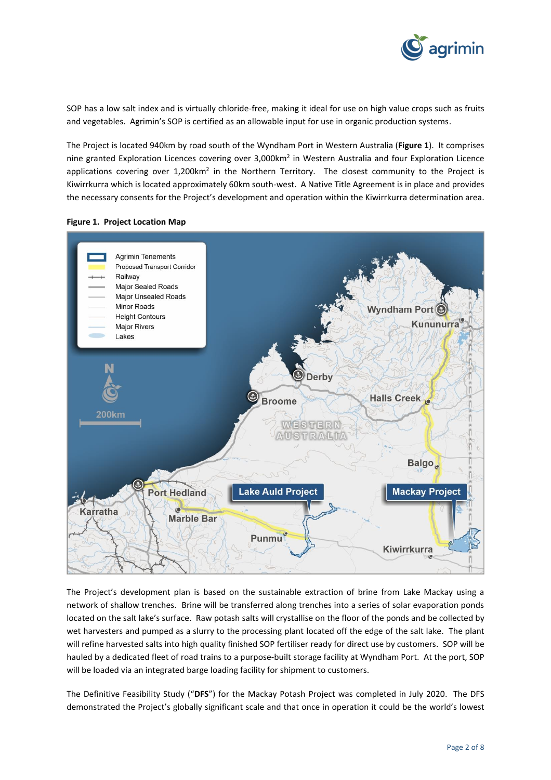

SOP has a low salt index and is virtually chloride-free, making it ideal for use on high value crops such as fruits and vegetables. Agrimin's SOP is certified as an allowable input for use in organic production systems.

The Project is located 940km by road south of the Wyndham Port in Western Australia (**Figure 1**). It comprises nine granted Exploration Licences covering over 3,000km<sup>2</sup> in Western Australia and four Exploration Licence applications covering over 1,200km<sup>2</sup> in the Northern Territory. The closest community to the Project is Kiwirrkurra which is located approximately 60km south-west. A Native Title Agreement is in place and provides the necessary consents for the Project's development and operation within the Kiwirrkurra determination area.





The Project's development plan is based on the sustainable extraction of brine from Lake Mackay using a network of shallow trenches. Brine will be transferred along trenches into a series of solar evaporation ponds located on the salt lake's surface. Raw potash salts will crystallise on the floor of the ponds and be collected by wet harvesters and pumped as a slurry to the processing plant located off the edge of the salt lake. The plant will refine harvested salts into high quality finished SOP fertiliser ready for direct use by customers. SOP will be hauled by a dedicated fleet of road trains to a purpose-built storage facility at Wyndham Port. At the port, SOP will be loaded via an integrated barge loading facility for shipment to customers.

The Definitive Feasibility Study ("**DFS**") for the Mackay Potash Project was completed in July 2020. The DFS demonstrated the Project's globally significant scale and that once in operation it could be the world's lowest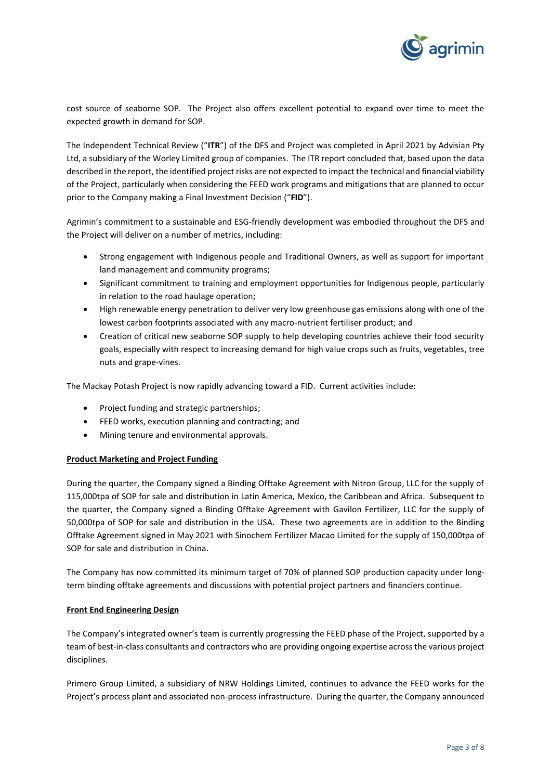

cost source of seaborne SOP. The Project also offers excellent potential to expand over time to meet the expected growth in demand for SOP.

The Independent Technical Review ("**ITR**") of the DFS and Project was completed in April 2021 by Advisian Pty Ltd, a subsidiary of the Worley Limited group of companies. The ITR report concluded that, based upon the data described in the report, the identified project risks are not expected to impact the technical and financial viability of the Project, particularly when considering the FEED work programs and mitigations that are planned to occur prior to the Company making a Final Investment Decision ("**FID**").

Agrimin's commitment to a sustainable and ESG-friendly development was embodied throughout the DFS and the Project will deliver on a number of metrics, including:

- Strong engagement with Indigenous people and Traditional Owners, as well as support for important land management and community programs;
- Significant commitment to training and employment opportunities for Indigenous people, particularly in relation to the road haulage operation;
- High renewable energy penetration to deliver very low greenhouse gas emissions along with one of the lowest carbon footprints associated with any macro-nutrient fertiliser product; and
- Creation of critical new seaborne SOP supply to help developing countries achieve their food security goals, especially with respect to increasing demand for high value crops such as fruits, vegetables, tree nuts and grape-vines.

The Mackay Potash Project is now rapidly advancing toward a FID. Current activities include:

- Project funding and strategic partnerships;
- FEED works, execution planning and contracting; and
- Mining tenure and environmental approvals.

#### **Product Marketing and Project Funding**

During the quarter, the Company signed a Binding Offtake Agreement with Nitron Group, LLC for the supply of 115,000tpa of SOP for sale and distribution in Latin America, Mexico, the Caribbean and Africa. Subsequent to the quarter, the Company signed a Binding Offtake Agreement with Gavilon Fertilizer, LLC for the supply of 50,000tpa of SOP for sale and distribution in the USA. These two agreements are in addition to the Binding Offtake Agreement signed in May 2021 with Sinochem Fertilizer Macao Limited for the supply of 150,000tpa of SOP for sale and distribution in China.

The Company has now committed its minimum target of 70% of planned SOP production capacity under longterm binding offtake agreements and discussions with potential project partners and financiers continue.

#### **Front End Engineering Design**

The Company's integrated owner's team is currently progressing the FEED phase of the Project, supported by a team of best-in-class consultants and contractors who are providing ongoing expertise across the various project disciplines.

Primero Group Limited, a subsidiary of NRW Holdings Limited, continues to advance the FEED works for the Project's process plant and associated non-process infrastructure. During the quarter, the Company announced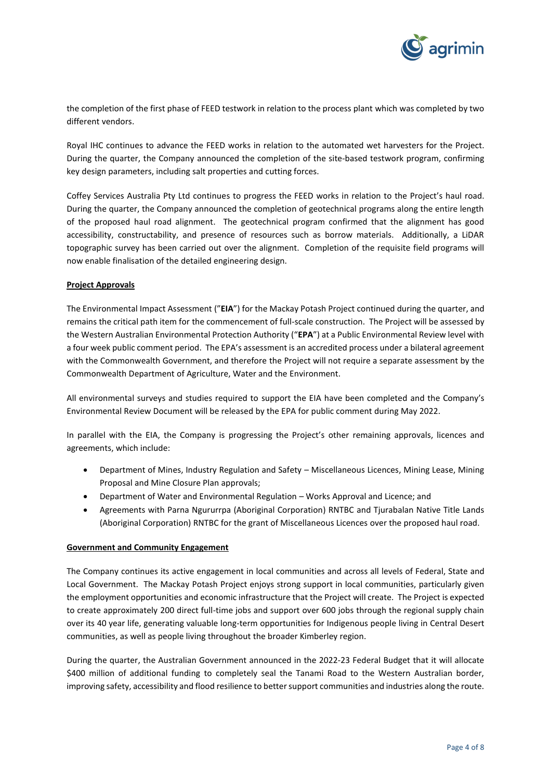

the completion of the first phase of FEED testwork in relation to the process plant which was completed by two different vendors.

Royal IHC continues to advance the FEED works in relation to the automated wet harvesters for the Project. During the quarter, the Company announced the completion of the site-based testwork program, confirming key design parameters, including salt properties and cutting forces.

Coffey Services Australia Pty Ltd continues to progress the FEED works in relation to the Project's haul road. During the quarter, the Company announced the completion of geotechnical programs along the entire length of the proposed haul road alignment. The geotechnical program confirmed that the alignment has good accessibility, constructability, and presence of resources such as borrow materials. Additionally, a LiDAR topographic survey has been carried out over the alignment. Completion of the requisite field programs will now enable finalisation of the detailed engineering design.

#### **Project Approvals**

The Environmental Impact Assessment ("**EIA**") for the Mackay Potash Project continued during the quarter, and remains the critical path item for the commencement of full-scale construction. The Project will be assessed by the Western Australian Environmental Protection Authority ("**EPA**") at a Public Environmental Review level with a four week public comment period. The EPA's assessment is an accredited process under a bilateral agreement with the Commonwealth Government, and therefore the Project will not require a separate assessment by the Commonwealth Department of Agriculture, Water and the Environment.

All environmental surveys and studies required to support the EIA have been completed and the Company's Environmental Review Document will be released by the EPA for public comment during May 2022.

In parallel with the EIA, the Company is progressing the Project's other remaining approvals, licences and agreements, which include:

- Department of Mines, Industry Regulation and Safety Miscellaneous Licences, Mining Lease, Mining Proposal and Mine Closure Plan approvals;
- Department of Water and Environmental Regulation Works Approval and Licence; and
- Agreements with Parna Ngururrpa (Aboriginal Corporation) RNTBC and Tjurabalan Native Title Lands (Aboriginal Corporation) RNTBC for the grant of Miscellaneous Licences over the proposed haul road.

#### **Government and Community Engagement**

The Company continues its active engagement in local communities and across all levels of Federal, State and Local Government. The Mackay Potash Project enjoys strong support in local communities, particularly given the employment opportunities and economic infrastructure that the Project will create. The Project is expected to create approximately 200 direct full-time jobs and support over 600 jobs through the regional supply chain over its 40 year life, generating valuable long-term opportunities for Indigenous people living in Central Desert communities, as well as people living throughout the broader Kimberley region.

During the quarter, the Australian Government announced in the 2022-23 Federal Budget that it will allocate \$400 million of additional funding to completely seal the Tanami Road to the Western Australian border, improving safety, accessibility and flood resilience to better support communities and industries along the route.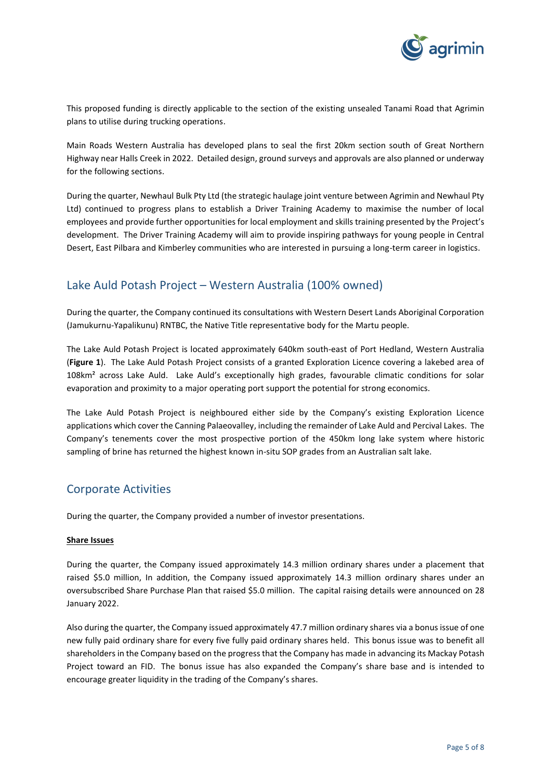

This proposed funding is directly applicable to the section of the existing unsealed Tanami Road that Agrimin plans to utilise during trucking operations.

Main Roads Western Australia has developed plans to seal the first 20km section south of Great Northern Highway near Halls Creek in 2022. Detailed design, ground surveys and approvals are also planned or underway for the following sections.

During the quarter, Newhaul Bulk Pty Ltd (the strategic haulage joint venture between Agrimin and Newhaul Pty Ltd) continued to progress plans to establish a Driver Training Academy to maximise the number of local employees and provide further opportunities for local employment and skills training presented by the Project's development. The Driver Training Academy will aim to provide inspiring pathways for young people in Central Desert, East Pilbara and Kimberley communities who are interested in pursuing a long-term career in logistics.

## Lake Auld Potash Project – Western Australia (100% owned)

During the quarter, the Company continued its consultations with Western Desert Lands Aboriginal Corporation (Jamukurnu-Yapalikunu) RNTBC, the Native Title representative body for the Martu people.

The Lake Auld Potash Project is located approximately 640km south-east of Port Hedland, Western Australia (**Figure 1**). The Lake Auld Potash Project consists of a granted Exploration Licence covering a lakebed area of 108km² across Lake Auld. Lake Auld's exceptionally high grades, favourable climatic conditions for solar evaporation and proximity to a major operating port support the potential for strong economics.

The Lake Auld Potash Project is neighboured either side by the Company's existing Exploration Licence applications which cover the Canning Palaeovalley, including the remainder of Lake Auld and Percival Lakes. The Company's tenements cover the most prospective portion of the 450km long lake system where historic sampling of brine has returned the highest known in-situ SOP grades from an Australian salt lake.

## Corporate Activities

During the quarter, the Company provided a number of investor presentations.

### **Share Issues**

During the quarter, the Company issued approximately 14.3 million ordinary shares under a placement that raised \$5.0 million, In addition, the Company issued approximately 14.3 million ordinary shares under an oversubscribed Share Purchase Plan that raised \$5.0 million. The capital raising details were announced on 28 January 2022.

Also during the quarter, the Company issued approximately 47.7 million ordinary shares via a bonus issue of one new fully paid ordinary share for every five fully paid ordinary shares held. This bonus issue was to benefit all shareholders in the Company based on the progress that the Company has made in advancing its Mackay Potash Project toward an FID. The bonus issue has also expanded the Company's share base and is intended to encourage greater liquidity in the trading of the Company's shares.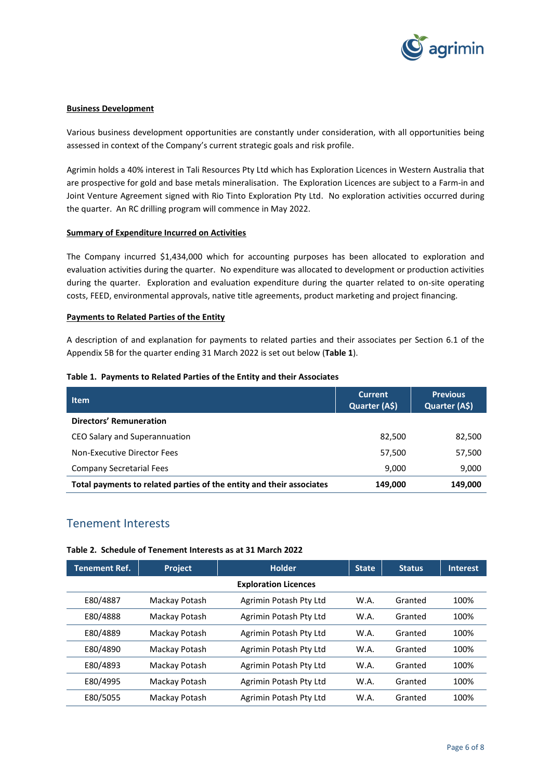

#### **Business Development**

Various business development opportunities are constantly under consideration, with all opportunities being assessed in context of the Company's current strategic goals and risk profile.

Agrimin holds a 40% interest in Tali Resources Pty Ltd which has Exploration Licences in Western Australia that are prospective for gold and base metals mineralisation. The Exploration Licences are subject to a Farm-in and Joint Venture Agreement signed with Rio Tinto Exploration Pty Ltd. No exploration activities occurred during the quarter. An RC drilling program will commence in May 2022.

#### **Summary of Expenditure Incurred on Activities**

The Company incurred \$1,434,000 which for accounting purposes has been allocated to exploration and evaluation activities during the quarter. No expenditure was allocated to development or production activities during the quarter. Exploration and evaluation expenditure during the quarter related to on-site operating costs, FEED, environmental approvals, native title agreements, product marketing and project financing.

#### **Payments to Related Parties of the Entity**

A description of and explanation for payments to related parties and their associates per Section 6.1 of the Appendix 5B for the quarter ending 31 March 2022 is set out below (**Table 1**).

|  | Table 1. Payments to Related Parties of the Entity and their Associates |  |  |  |  |  |  |
|--|-------------------------------------------------------------------------|--|--|--|--|--|--|
|--|-------------------------------------------------------------------------|--|--|--|--|--|--|

| <b>Item</b>                                                          | <b>Current</b><br>Quarter (A\$) | <b>Previous</b><br>Quarter (A\$) |
|----------------------------------------------------------------------|---------------------------------|----------------------------------|
| Directors' Remuneration                                              |                                 |                                  |
| CEO Salary and Superannuation                                        | 82,500                          | 82,500                           |
| Non-Executive Director Fees                                          | 57,500                          | 57,500                           |
| <b>Company Secretarial Fees</b>                                      | 9,000                           | 9,000                            |
| Total payments to related parties of the entity and their associates | 149.000                         | 149,000                          |

## Tenement Interests

#### **Table 2. Schedule of Tenement Interests as at 31 March 2022**

| <b>Tenement Ref.</b>        | Project       | <b>Holder</b>          | <b>State</b> | Status  | <b>Interest</b> |  |
|-----------------------------|---------------|------------------------|--------------|---------|-----------------|--|
| <b>Exploration Licences</b> |               |                        |              |         |                 |  |
| E80/4887                    | Mackay Potash | Agrimin Potash Pty Ltd | W.A.         | Granted | 100%            |  |
| E80/4888                    | Mackay Potash | Agrimin Potash Pty Ltd | W.A.         | Granted | 100%            |  |
| E80/4889                    | Mackay Potash | Agrimin Potash Pty Ltd | W.A.         | Granted | 100%            |  |
| E80/4890                    | Mackay Potash | Agrimin Potash Pty Ltd | W.A.         | Granted | 100%            |  |
| E80/4893                    | Mackay Potash | Agrimin Potash Pty Ltd | W.A.         | Granted | 100%            |  |
| E80/4995                    | Mackay Potash | Agrimin Potash Pty Ltd | W.A.         | Granted | 100%            |  |
| E80/5055                    | Mackay Potash | Agrimin Potash Pty Ltd | W.A.         | Granted | 100%            |  |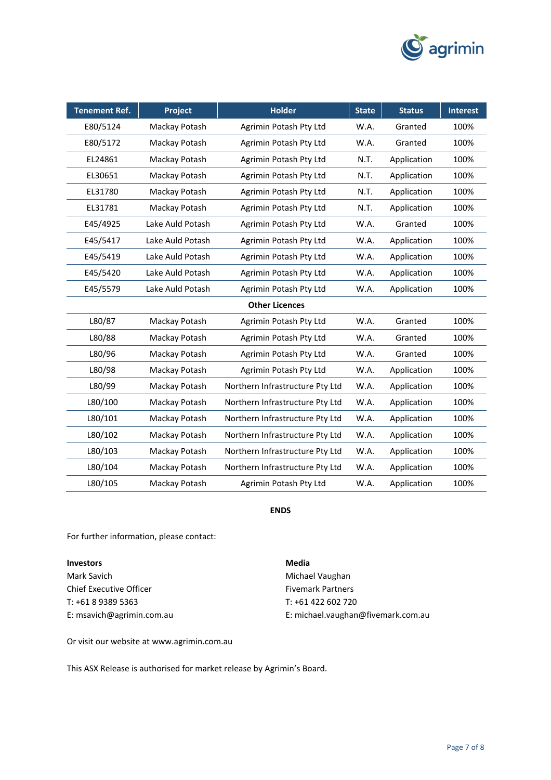

| <b>Tenement Ref.</b>  | <b>Project</b>   | <b>Holder</b>                   | <b>State</b> | <b>Status</b> | <b>Interest</b> |  |
|-----------------------|------------------|---------------------------------|--------------|---------------|-----------------|--|
| E80/5124              | Mackay Potash    | Agrimin Potash Pty Ltd          | W.A.         | Granted       | 100%            |  |
| E80/5172              | Mackay Potash    | Agrimin Potash Pty Ltd          | W.A.         | Granted       | 100%            |  |
| EL24861               | Mackay Potash    | Agrimin Potash Pty Ltd          | N.T.         | Application   | 100%            |  |
| EL30651               | Mackay Potash    | Agrimin Potash Pty Ltd          | N.T.         | Application   | 100%            |  |
| EL31780               | Mackay Potash    | Agrimin Potash Pty Ltd          | N.T.         | Application   | 100%            |  |
| EL31781               | Mackay Potash    | Agrimin Potash Pty Ltd          | N.T.         | Application   | 100%            |  |
| E45/4925              | Lake Auld Potash | Agrimin Potash Pty Ltd          | W.A.         | Granted       | 100%            |  |
| E45/5417              | Lake Auld Potash | Agrimin Potash Pty Ltd          | W.A.         | Application   | 100%            |  |
| E45/5419              | Lake Auld Potash | Agrimin Potash Pty Ltd          | W.A.         | Application   | 100%            |  |
| E45/5420              | Lake Auld Potash | Agrimin Potash Pty Ltd          | W.A.         | Application   | 100%            |  |
| E45/5579              | Lake Auld Potash | Agrimin Potash Pty Ltd          | W.A.         | Application   | 100%            |  |
| <b>Other Licences</b> |                  |                                 |              |               |                 |  |
| L80/87                | Mackay Potash    | Agrimin Potash Pty Ltd          | W.A.         | Granted       | 100%            |  |
| L80/88                | Mackay Potash    | Agrimin Potash Pty Ltd          | W.A.         | Granted       | 100%            |  |
| L80/96                | Mackay Potash    | Agrimin Potash Pty Ltd          | W.A.         | Granted       | 100%            |  |
| L80/98                | Mackay Potash    | Agrimin Potash Pty Ltd          | W.A.         | Application   | 100%            |  |
| L80/99                | Mackay Potash    | Northern Infrastructure Pty Ltd | W.A.         | Application   | 100%            |  |
| L80/100               | Mackay Potash    | Northern Infrastructure Pty Ltd | W.A.         | Application   | 100%            |  |
| L80/101               | Mackay Potash    | Northern Infrastructure Pty Ltd | W.A.         | Application   | 100%            |  |
| L80/102               | Mackay Potash    | Northern Infrastructure Pty Ltd | W.A.         | Application   | 100%            |  |
| L80/103               | Mackay Potash    | Northern Infrastructure Pty Ltd | W.A.         | Application   | 100%            |  |
| L80/104               | Mackay Potash    | Northern Infrastructure Pty Ltd | W.A.         | Application   | 100%            |  |
| L80/105               | Mackay Potash    | Agrimin Potash Pty Ltd          | W.A.         | Application   | 100%            |  |

#### **ENDS**

For further information, please contact:

## **Investors Media**

Chief Executive Officer Fivemark Partners T: +61 8 9389 5363 T: +61 422 602 720

Mark Savich **Michael Vaughan** E: [msavich@agrimin.com.au](mailto:msavich@agrimin.com.au) E: [michael.vaughan@fivemark.com.au](mailto:michael.vaughan@fivemark.com.au)

Or visit our website at [www.agrimin.com.au](http://www.grcl.com.au/)

This ASX Release is authorised for market release by Agrimin's Board.